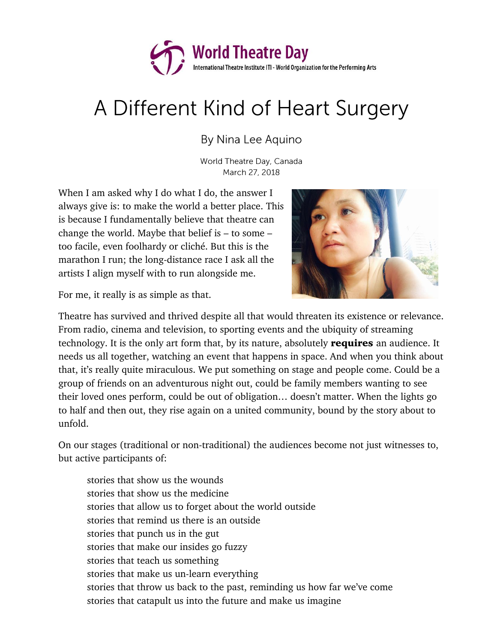

## A Different Kind of Heart Surgery

By Nina Lee Aquino

World Theatre Day, Canada March 27, 2018

When I am asked why I do what I do, the answer I always give is: to make the world a better place. This is because I fundamentally believe that theatre can change the world. Maybe that belief is – to some – too facile, even foolhardy or cliché. But this is the marathon I run; the long-distance race I ask all the artists I align myself with to run alongside me.



For me, it really is as simple as that.

Theatre has survived and thrived despite all that would threaten its existence or relevance. From radio, cinema and television, to sporting events and the ubiquity of streaming technology. It is the only art form that, by its nature, absolutely **requires** an audience. It needs us all together, watching an event that happens in space. And when you think about that, it's really quite miraculous. We put something on stage and people come. Could be a group of friends on an adventurous night out, could be family members wanting to see their loved ones perform, could be out of obligation… doesn't matter. When the lights go to half and then out, they rise again on a united community, bound by the story about to unfold.

On our stages (traditional or non-traditional) the audiences become not just witnesses to, but active participants of:

stories that show us the wounds stories that show us the medicine stories that allow us to forget about the world outside stories that remind us there is an outside stories that punch us in the gut stories that make our insides go fuzzy stories that teach us something stories that make us un-learn everything stories that throw us back to the past, reminding us how far we've come stories that catapult us into the future and make us imagine